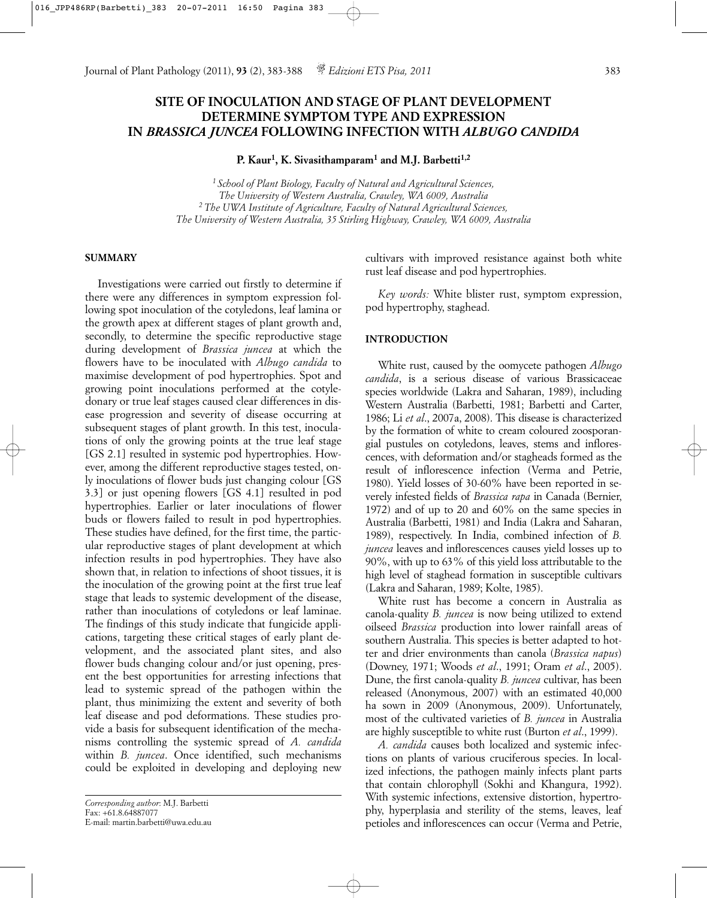# **SITE OF INOCULATION AND STAGE OF PLANT DEVELOPMENT DETERMINE SYMPTOM TYPE AND EXPRESSION IN** *BRASSICA JUNCEA* **FOLLOWING INFECTION WITH** *ALBUGO CANDIDA*

**P. Kaur1, K. Sivasithamparam1 and M.J. Barbetti1,2**

*1 School of Plant Biology, Faculty of Natural and Agricultural Sciences, The University of Western Australia, Crawley, WA 6009, Australia 2 The UWA Institute of Agriculture, Faculty of Natural Agricultural Sciences, The University of Western Australia, 35 Stirling Highway, Crawley, WA 6009, Australia*

## **SUMMARY**

Investigations were carried out firstly to determine if there were any differences in symptom expression following spot inoculation of the cotyledons, leaf lamina or the growth apex at different stages of plant growth and, secondly, to determine the specific reproductive stage during development of *Brassica juncea* at which the flowers have to be inoculated with *Albugo candida* to maximise development of pod hypertrophies. Spot and growing point inoculations performed at the cotyledonary or true leaf stages caused clear differences in disease progression and severity of disease occurring at subsequent stages of plant growth. In this test, inoculations of only the growing points at the true leaf stage [GS 2.1] resulted in systemic pod hypertrophies. However, among the different reproductive stages tested, only inoculations of flower buds just changing colour [GS 3.3] or just opening flowers [GS 4.1] resulted in pod hypertrophies. Earlier or later inoculations of flower buds or flowers failed to result in pod hypertrophies. These studies have defined, for the first time, the particular reproductive stages of plant development at which infection results in pod hypertrophies. They have also shown that, in relation to infections of shoot tissues, it is the inoculation of the growing point at the first true leaf stage that leads to systemic development of the disease, rather than inoculations of cotyledons or leaf laminae. The findings of this study indicate that fungicide applications, targeting these critical stages of early plant development, and the associated plant sites, and also flower buds changing colour and/or just opening, present the best opportunities for arresting infections that lead to systemic spread of the pathogen within the plant, thus minimizing the extent and severity of both leaf disease and pod deformations. These studies provide a basis for subsequent identification of the mechanisms controlling the systemic spread of *A. candida* within *B. juncea*. Once identified, such mechanisms could be exploited in developing and deploying new

cultivars with improved resistance against both white rust leaf disease and pod hypertrophies.

*Key words:* White blister rust, symptom expression, pod hypertrophy, staghead.

## **INTRODUCTION**

White rust, caused by the oomycete pathogen *Albugo candida*, is a serious disease of various Brassicaceae species worldwide (Lakra and Saharan, 1989), including Western Australia (Barbetti, 1981; Barbetti and Carter, 1986; Li *et al*., 2007a, 2008). This disease is characterized by the formation of white to cream coloured zoosporangial pustules on cotyledons, leaves, stems and inflorescences, with deformation and/or stagheads formed as the result of inflorescence infection (Verma and Petrie, 1980). Yield losses of 30-60% have been reported in severely infested fields of *Brassica rapa* in Canada (Bernier, 1972) and of up to 20 and 60% on the same species in Australia (Barbetti, 1981) and India (Lakra and Saharan, 1989), respectively. In India, combined infection of *B. juncea* leaves and inflorescences causes yield losses up to 90%, with up to 63% of this yield loss attributable to the high level of staghead formation in susceptible cultivars (Lakra and Saharan, 1989; Kolte, 1985).

White rust has become a concern in Australia as canola-quality *B. juncea* is now being utilized to extend oilseed *Brassica* production into lower rainfall areas of southern Australia. This species is better adapted to hotter and drier environments than canola (*Brassica napus*) (Downey, 1971; Woods *et al*., 1991; Oram *et al*., 2005). Dune, the first canola-quality *B. juncea* cultivar, has been released (Anonymous, 2007) with an estimated 40,000 ha sown in 2009 (Anonymous, 2009). Unfortunately, most of the cultivated varieties of *B. juncea* in Australia are highly susceptible to white rust (Burton *et al*., 1999).

*A. candida* causes both localized and systemic infections on plants of various cruciferous species. In localized infections, the pathogen mainly infects plant parts that contain chlorophyll (Sokhi and Khangura, 1992). With systemic infections, extensive distortion, hypertrophy, hyperplasia and sterility of the stems, leaves, leaf petioles and inflorescences can occur (Verma and Petrie,

*Corresponding author*: M.J. Barbetti Fax: +61.8.64887077 E-mail: martin.barbetti@uwa.edu.au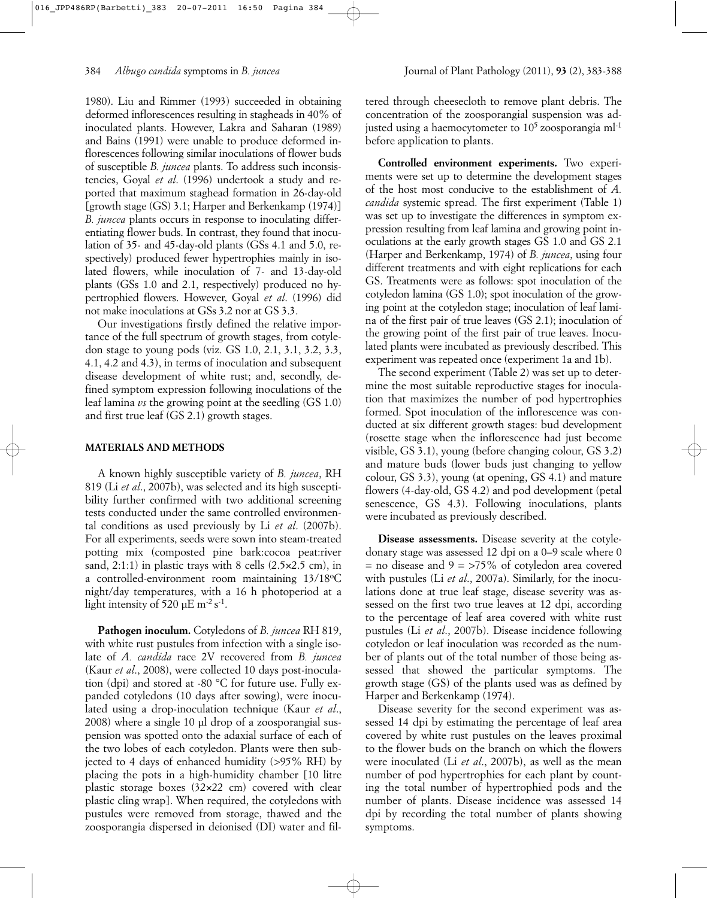1980). Liu and Rimmer (1993) succeeded in obtaining deformed inflorescences resulting in stagheads in 40% of inoculated plants. However, Lakra and Saharan (1989) and Bains (1991) were unable to produce deformed inflorescences following similar inoculations of flower buds of susceptible *B. juncea* plants. To address such inconsistencies, Goyal *et al*. (1996) undertook a study and reported that maximum staghead formation in 26-day-old [growth stage (GS) 3.1; Harper and Berkenkamp (1974)] *B. juncea* plants occurs in response to inoculating differentiating flower buds. In contrast, they found that inoculation of 35- and 45-day-old plants (GSs 4.1 and 5.0, respectively) produced fewer hypertrophies mainly in isolated flowers, while inoculation of 7- and 13-day-old plants (GSs 1.0 and 2.1, respectively) produced no hypertrophied flowers. However, Goyal *et al*. (1996) did not make inoculations at GSs 3.2 nor at GS 3.3.

Our investigations firstly defined the relative importance of the full spectrum of growth stages, from cotyledon stage to young pods (viz. GS 1.0, 2.1, 3.1, 3.2, 3.3, 4.1, 4.2 and 4.3), in terms of inoculation and subsequent disease development of white rust; and, secondly, defined symptom expression following inoculations of the leaf lamina *vs* the growing point at the seedling (GS 1.0) and first true leaf (GS 2.1) growth stages.

#### **MATERIALS AND METHODS**

A known highly susceptible variety of *B. juncea*, RH 819 (Li *et al*., 2007b), was selected and its high susceptibility further confirmed with two additional screening tests conducted under the same controlled environmental conditions as used previously by Li *et al*. (2007b). For all experiments, seeds were sown into steam-treated potting mix (composted pine bark:cocoa peat:river sand, 2:1:1) in plastic trays with 8 cells (2.5×2.5 cm), in a controlled-environment room maintaining 13/18°C night/day temperatures, with a 16 h photoperiod at a light intensity of 520  $\mu$ E m<sup>-2</sup> s<sup>-1</sup>.

**Pathogen inoculum.** Cotyledons of *B. juncea* RH 819, with white rust pustules from infection with a single isolate of *A. candida* race 2V recovered from *B. juncea* (Kaur *et al*., 2008), were collected 10 days post-inoculation (dpi) and stored at -80 °C for future use. Fully expanded cotyledons (10 days after sowing), were inoculated using a drop-inoculation technique (Kaur *et al*., 2008) where a single 10 µl drop of a zoosporangial suspension was spotted onto the adaxial surface of each of the two lobes of each cotyledon. Plants were then subjected to 4 days of enhanced humidity (*>*95% RH) by placing the pots in a high-humidity chamber [10 litre plastic storage boxes (32×22 cm) covered with clear plastic cling wrap]. When required, the cotyledons with pustules were removed from storage, thawed and the zoosporangia dispersed in deionised (DI) water and filtered through cheesecloth to remove plant debris. The concentration of the zoosporangial suspension was adjusted using a haemocytometer to  $10^5$  zoosporangia ml<sup>-1</sup> before application to plants.

**Controlled environment experiments.** Two experiments were set up to determine the development stages of the host most conducive to the establishment of *A. candida* systemic spread. The first experiment (Table 1) was set up to investigate the differences in symptom expression resulting from leaf lamina and growing point inoculations at the early growth stages GS 1.0 and GS 2.1 (Harper and Berkenkamp, 1974) of *B. juncea*, using four different treatments and with eight replications for each GS. Treatments were as follows: spot inoculation of the cotyledon lamina (GS 1.0); spot inoculation of the growing point at the cotyledon stage; inoculation of leaf lamina of the first pair of true leaves (GS 2.1); inoculation of the growing point of the first pair of true leaves. Inoculated plants were incubated as previously described. This experiment was repeated once (experiment 1a and 1b).

The second experiment (Table 2) was set up to determine the most suitable reproductive stages for inoculation that maximizes the number of pod hypertrophies formed. Spot inoculation of the inflorescence was conducted at six different growth stages: bud development (rosette stage when the inflorescence had just become visible, GS 3.1), young (before changing colour, GS 3.2) and mature buds (lower buds just changing to yellow colour, GS 3.3), young (at opening, GS 4.1) and mature flowers (4-day-old, GS 4.2) and pod development (petal senescence, GS 4.3). Following inoculations, plants were incubated as previously described.

**Disease assessments.** Disease severity at the cotyledonary stage was assessed 12 dpi on a 0–9 scale where 0 = no disease and 9 = *>*75% of cotyledon area covered with pustules (Li *et al*., 2007a). Similarly, for the inoculations done at true leaf stage, disease severity was assessed on the first two true leaves at 12 dpi, according to the percentage of leaf area covered with white rust pustules (Li *et al*., 2007b). Disease incidence following cotyledon or leaf inoculation was recorded as the number of plants out of the total number of those being assessed that showed the particular symptoms. The growth stage (GS) of the plants used was as defined by Harper and Berkenkamp (1974).

Disease severity for the second experiment was assessed 14 dpi by estimating the percentage of leaf area covered by white rust pustules on the leaves proximal to the flower buds on the branch on which the flowers were inoculated (Li *et al*., 2007b), as well as the mean number of pod hypertrophies for each plant by counting the total number of hypertrophied pods and the number of plants. Disease incidence was assessed 14 dpi by recording the total number of plants showing symptoms.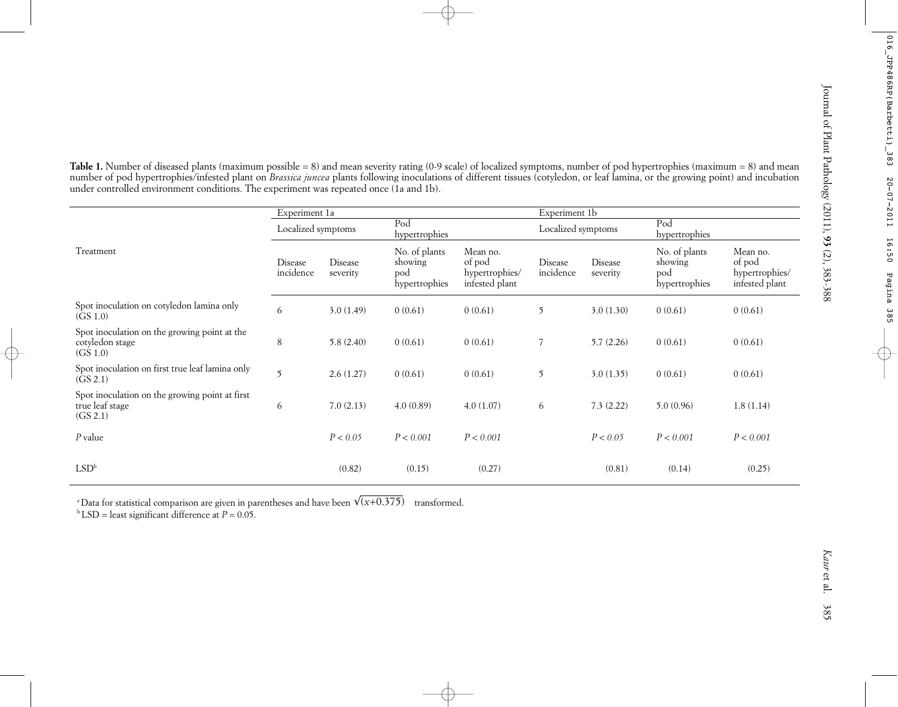|                                                                                                                                                               | Experiment 1a        |                     |                                                  |                                                        | Experiment 1b        |                     |                                                  |                                                        |
|---------------------------------------------------------------------------------------------------------------------------------------------------------------|----------------------|---------------------|--------------------------------------------------|--------------------------------------------------------|----------------------|---------------------|--------------------------------------------------|--------------------------------------------------------|
| Treatment                                                                                                                                                     | Localized symptoms   |                     | Pod<br>hypertrophies                             |                                                        | Localized symptoms   |                     | Pod<br>hypertrophies                             |                                                        |
|                                                                                                                                                               | Disease<br>incidence | Disease<br>severity | No. of plants<br>showing<br>pod<br>hypertrophies | Mean no.<br>of pod<br>hypertrophies/<br>infested plant | Disease<br>incidence | Disease<br>severity | No. of plants<br>showing<br>pod<br>hypertrophies | Mean no.<br>of pod<br>hypertrophies/<br>infested plant |
| Spot inoculation on cotyledon lamina only<br>(GS 1.0)                                                                                                         | 6                    | 3.0(1.49)           | 0(0.61)                                          | 0(0.61)                                                | 5                    | 3.0(1.30)           | 0(0.61)                                          | 0(0.61)                                                |
| Spot inoculation on the growing point at the<br>cotyledon stage<br>$(G\dot{S} 1.0)$                                                                           | $\,8\,$              | 5.8(2.40)           | 0(0.61)                                          | 0(0.61)                                                | $\overline{7}$       | 5.7(2.26)           | 0(0.61)                                          | 0(0.61)                                                |
| Spot inoculation on first true leaf lamina only<br>(GS 2.1)                                                                                                   | 5                    | 2.6(1.27)           | 0(0.61)                                          | 0(0.61)                                                | $\mathfrak{I}$       | 3.0(1.35)           | 0(0.61)                                          | 0(0.61)                                                |
| Spot inoculation on the growing point at first<br>true leaf stage<br>(GS 2.1)                                                                                 | 6                    | 7.0(2.13)           | 4.0(0.89)                                        | 4.0(1.07)                                              | 6                    | 7.3(2.22)           | 5.0(0.96)                                        | 1.8(1.14)                                              |
| $P$ value                                                                                                                                                     |                      | P < 0.05            | P < 0.001                                        | P < 0.001                                              |                      | P < 0.05            | P < 0.001                                        | P < 0.001                                              |
| LSD <sup>b</sup>                                                                                                                                              |                      | (0.82)              | (0.15)                                           | (0.27)                                                 |                      | (0.81)              | (0.14)                                           | (0.25)                                                 |
| "Data for statistical comparison are given in parentheses and have been $\sqrt{(x+0.375)}$<br><sup>b</sup> LSD = least significant difference at $P = 0.05$ . |                      |                     | transformed.                                     |                                                        |                      |                     |                                                  |                                                        |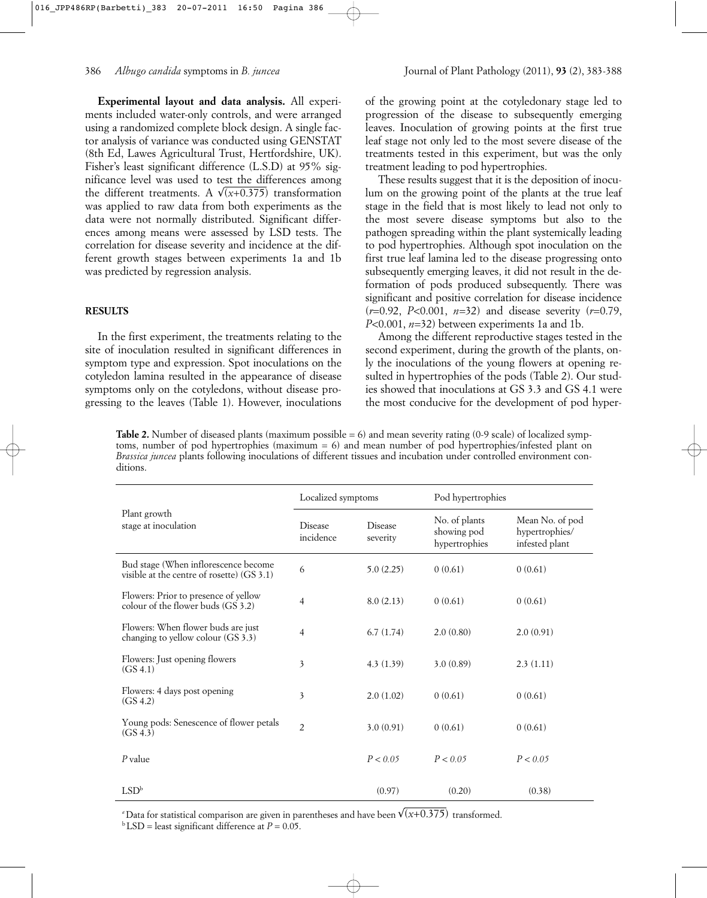**Experimental layout and data analysis.** All experiments included water-only controls, and were arranged using a randomized complete block design. A single factor analysis of variance was conducted using GENSTAT (8th Ed, Lawes Agricultural Trust, Hertfordshire, UK). Fisher's least significant difference (L.S.D) at 95% significance level was used to test the differences among the different treatments. A  $\sqrt{(x+0.375)}$  transformation was applied to raw data from both experiments as the data were not normally distributed. Significant differences among means were assessed by LSD tests. The correlation for disease severity and incidence at the different growth stages between experiments 1a and 1b was predicted by regression analysis.

## **RESULTS**

In the first experiment, the treatments relating to the site of inoculation resulted in significant differences in symptom type and expression. Spot inoculations on the cotyledon lamina resulted in the appearance of disease symptoms only on the cotyledons, without disease progressing to the leaves (Table 1). However, inoculations of the growing point at the cotyledonary stage led to progression of the disease to subsequently emerging leaves. Inoculation of growing points at the first true leaf stage not only led to the most severe disease of the treatments tested in this experiment, but was the only treatment leading to pod hypertrophies.

These results suggest that it is the deposition of inoculum on the growing point of the plants at the true leaf stage in the field that is most likely to lead not only to the most severe disease symptoms but also to the pathogen spreading within the plant systemically leading to pod hypertrophies. Although spot inoculation on the first true leaf lamina led to the disease progressing onto subsequently emerging leaves, it did not result in the deformation of pods produced subsequently. There was significant and positive correlation for disease incidence (*r*=0.92, *P<*0.001, *n*=32) and disease severity (*r*=0.79, *P<*0.001, *n*=32) between experiments 1a and 1b.

Among the different reproductive stages tested in the second experiment, during the growth of the plants, only the inoculations of the young flowers at opening resulted in hypertrophies of the pods (Table 2). Our studies showed that inoculations at GS 3.3 and GS 4.1 were the most conducive for the development of pod hyper-

**Table 2.** Number of diseased plants (maximum possible = 6) and mean severity rating (0-9 scale) of localized symptoms, number of pod hypertrophies (maximum = 6) and mean number of pod hypertrophies/infested plant on *Brassica juncea* plants following inoculations of different tissues and incubation under controlled environment conditions.

|                                                                                    | Localized symptoms          |                            | Pod hypertrophies                             |                                                     |  |
|------------------------------------------------------------------------------------|-----------------------------|----------------------------|-----------------------------------------------|-----------------------------------------------------|--|
| Plant growth<br>stage at inoculation                                               | <b>Disease</b><br>incidence | <b>Disease</b><br>severity | No. of plants<br>showing pod<br>hypertrophies | Mean No. of pod<br>hypertrophies/<br>infested plant |  |
| Bud stage (When inflorescence become<br>visible at the centre of rosette) (GS 3.1) | 6                           | 5.0(2.25)                  | 0(0.61)                                       | 0(0.61)                                             |  |
| Flowers: Prior to presence of yellow<br>colour of the flower buds (GS 3.2)         | $\overline{4}$              | 8.0(2.13)                  | 0(0.61)                                       | 0(0.61)                                             |  |
| Flowers: When flower buds are just<br>changing to yellow colour (GS 3.3)           | 4                           | 6.7(1.74)                  | 2.0(0.80)                                     | 2.0(0.91)                                           |  |
| Flowers: Just opening flowers<br>(GS 4.1)                                          | 3                           | 4.3(1.39)                  | 3.0(0.89)                                     | 2.3(1.11)                                           |  |
| Flowers: 4 days post opening<br>(GS 4.2)                                           | 3                           | 2.0(1.02)                  | 0(0.61)                                       | 0(0.61)                                             |  |
| Young pods: Senescence of flower petals<br>(GS 4.3)                                | $\overline{2}$              | 3.0(0.91)                  | 0(0.61)                                       | 0(0.61)                                             |  |
| $P$ value                                                                          |                             | P < 0.05                   | P < 0.05                                      | P < 0.05                                            |  |
| LSD <sup>b</sup>                                                                   |                             | (0.97)                     | (0.20)                                        | (0.38)                                              |  |

 $^a$ Data for statistical comparison are given in parentheses and have been  $\sqrt{(x\text{+}0.375)}$  transformed.

 $b$  LSD = least significant difference at  $P = 0.05$ .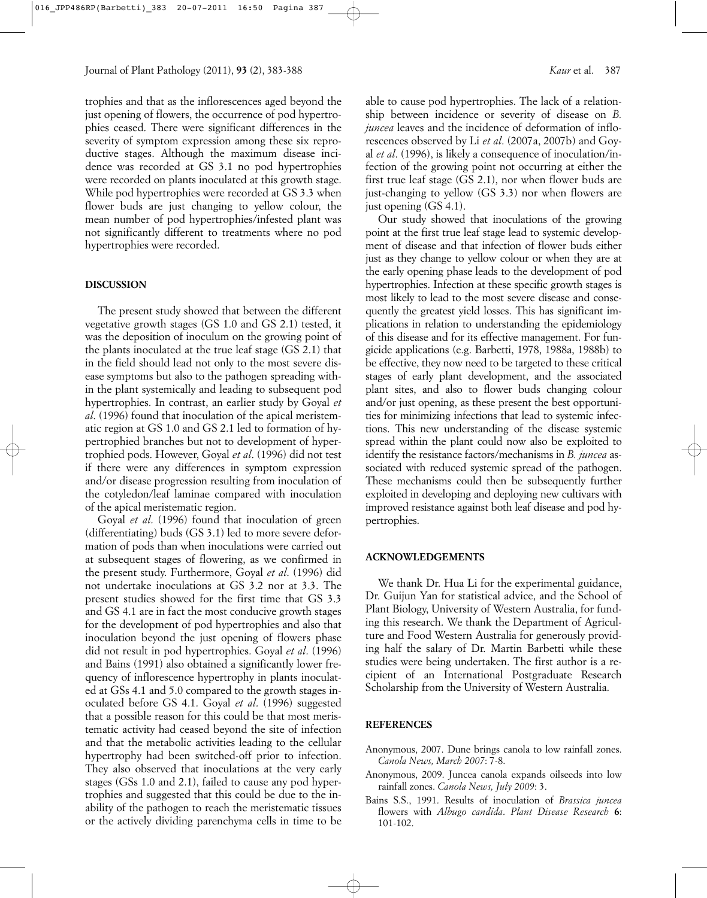trophies and that as the inflorescences aged beyond the just opening of flowers, the occurrence of pod hypertrophies ceased. There were significant differences in the severity of symptom expression among these six reproductive stages. Although the maximum disease incidence was recorded at GS 3.1 no pod hypertrophies were recorded on plants inoculated at this growth stage. While pod hypertrophies were recorded at GS 3.3 when flower buds are just changing to yellow colour, the mean number of pod hypertrophies/infested plant was not significantly different to treatments where no pod hypertrophies were recorded.

## **DISCUSSION**

The present study showed that between the different vegetative growth stages (GS 1.0 and GS 2.1) tested, it was the deposition of inoculum on the growing point of the plants inoculated at the true leaf stage (GS 2.1) that in the field should lead not only to the most severe disease symptoms but also to the pathogen spreading within the plant systemically and leading to subsequent pod hypertrophies. In contrast, an earlier study by Goyal *et al*. (1996) found that inoculation of the apical meristematic region at GS 1.0 and GS 2.1 led to formation of hypertrophied branches but not to development of hypertrophied pods. However, Goyal *et al*. (1996) did not test if there were any differences in symptom expression and/or disease progression resulting from inoculation of the cotyledon/leaf laminae compared with inoculation of the apical meristematic region.

Goyal *et al*. (1996) found that inoculation of green (differentiating) buds (GS 3.1) led to more severe deformation of pods than when inoculations were carried out at subsequent stages of flowering, as we confirmed in the present study. Furthermore, Goyal *et al*. (1996) did not undertake inoculations at GS 3.2 nor at 3.3. The present studies showed for the first time that GS 3.3 and GS 4.1 are in fact the most conducive growth stages for the development of pod hypertrophies and also that inoculation beyond the just opening of flowers phase did not result in pod hypertrophies. Goyal *et al*. (1996) and Bains (1991) also obtained a significantly lower frequency of inflorescence hypertrophy in plants inoculated at GSs 4.1 and 5.0 compared to the growth stages inoculated before GS 4.1. Goyal *et al*. (1996) suggested that a possible reason for this could be that most meristematic activity had ceased beyond the site of infection and that the metabolic activities leading to the cellular hypertrophy had been switched-off prior to infection. They also observed that inoculations at the very early stages (GSs 1.0 and 2.1), failed to cause any pod hypertrophies and suggested that this could be due to the inability of the pathogen to reach the meristematic tissues or the actively dividing parenchyma cells in time to be able to cause pod hypertrophies. The lack of a relationship between incidence or severity of disease on *B. juncea* leaves and the incidence of deformation of inflorescences observed by Li *et al*. (2007a, 2007b) and Goyal *et al*. (1996), is likely a consequence of inoculation/infection of the growing point not occurring at either the first true leaf stage (GS 2.1), nor when flower buds are just-changing to yellow (GS 3.3) nor when flowers are just opening (GS 4.1).

Our study showed that inoculations of the growing point at the first true leaf stage lead to systemic development of disease and that infection of flower buds either just as they change to yellow colour or when they are at the early opening phase leads to the development of pod hypertrophies. Infection at these specific growth stages is most likely to lead to the most severe disease and consequently the greatest yield losses. This has significant implications in relation to understanding the epidemiology of this disease and for its effective management. For fungicide applications (e.g. Barbetti, 1978, 1988a, 1988b) to be effective, they now need to be targeted to these critical stages of early plant development, and the associated plant sites, and also to flower buds changing colour and/or just opening, as these present the best opportunities for minimizing infections that lead to systemic infections. This new understanding of the disease systemic spread within the plant could now also be exploited to identify the resistance factors/mechanisms in *B. juncea* associated with reduced systemic spread of the pathogen. These mechanisms could then be subsequently further exploited in developing and deploying new cultivars with improved resistance against both leaf disease and pod hypertrophies.

#### **ACKNOWLEDGEMENTS**

We thank Dr. Hua Li for the experimental guidance, Dr. Guijun Yan for statistical advice, and the School of Plant Biology, University of Western Australia, for funding this research. We thank the Department of Agriculture and Food Western Australia for generously providing half the salary of Dr. Martin Barbetti while these studies were being undertaken. The first author is a recipient of an International Postgraduate Research Scholarship from the University of Western Australia.

#### **REFERENCES**

- Anonymous, 2007. Dune brings canola to low rainfall zones. *Canola News, March 2007*: 7-8.
- Anonymous, 2009. Juncea canola expands oilseeds into low rainfall zones. *Canola News, July 2009*: 3.
- Bains S.S., 1991. Results of inoculation of *Brassica juncea* flowers with *Albugo candida*. *Plant Disease Research* **6**: 101-102.